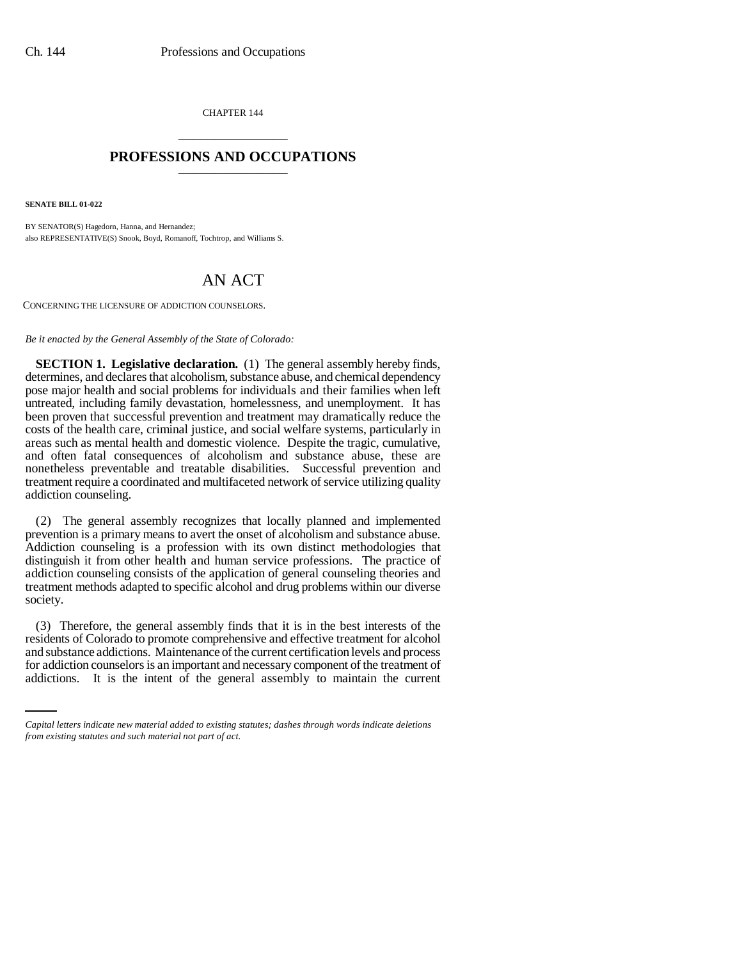CHAPTER 144 \_\_\_\_\_\_\_\_\_\_\_\_\_\_\_

## **PROFESSIONS AND OCCUPATIONS** \_\_\_\_\_\_\_\_\_\_\_\_\_\_\_

**SENATE BILL 01-022**

BY SENATOR(S) Hagedorn, Hanna, and Hernandez; also REPRESENTATIVE(S) Snook, Boyd, Romanoff, Tochtrop, and Williams S.

## AN ACT

CONCERNING THE LICENSURE OF ADDICTION COUNSELORS.

*Be it enacted by the General Assembly of the State of Colorado:*

**SECTION 1. Legislative declaration.** (1) The general assembly hereby finds, determines, and declares that alcoholism, substance abuse, and chemical dependency pose major health and social problems for individuals and their families when left untreated, including family devastation, homelessness, and unemployment. It has been proven that successful prevention and treatment may dramatically reduce the costs of the health care, criminal justice, and social welfare systems, particularly in areas such as mental health and domestic violence. Despite the tragic, cumulative, and often fatal consequences of alcoholism and substance abuse, these are nonetheless preventable and treatable disabilities. Successful prevention and treatment require a coordinated and multifaceted network of service utilizing quality addiction counseling.

(2) The general assembly recognizes that locally planned and implemented prevention is a primary means to avert the onset of alcoholism and substance abuse. Addiction counseling is a profession with its own distinct methodologies that distinguish it from other health and human service professions. The practice of addiction counseling consists of the application of general counseling theories and treatment methods adapted to specific alcohol and drug problems within our diverse society.

and substance addictions. Maintenance of the current certification levels and process (3) Therefore, the general assembly finds that it is in the best interests of the residents of Colorado to promote comprehensive and effective treatment for alcohol for addiction counselors is an important and necessary component of the treatment of addictions. It is the intent of the general assembly to maintain the current

*Capital letters indicate new material added to existing statutes; dashes through words indicate deletions from existing statutes and such material not part of act.*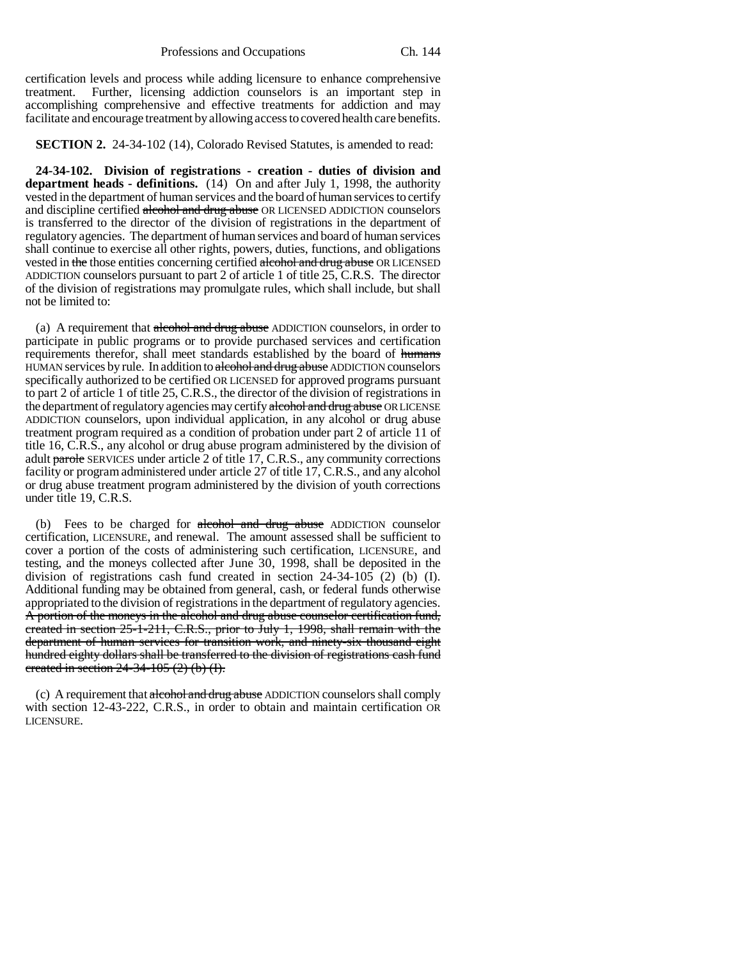certification levels and process while adding licensure to enhance comprehensive treatment. Further, licensing addiction counselors is an important step in accomplishing comprehensive and effective treatments for addiction and may facilitate and encourage treatment by allowing access to covered health care benefits.

**SECTION 2.** 24-34-102 (14), Colorado Revised Statutes, is amended to read:

**24-34-102. Division of registrations - creation - duties of division and department heads - definitions.** (14) On and after July 1, 1998, the authority vested in the department of human services and the board of human services to certify and discipline certified alcohol and drug abuse OR LICENSED ADDICTION counselors is transferred to the director of the division of registrations in the department of regulatory agencies. The department of human services and board of human services shall continue to exercise all other rights, powers, duties, functions, and obligations vested in the those entities concerning certified alcohol and drug abuse OR LICENSED ADDICTION counselors pursuant to part 2 of article 1 of title 25, C.R.S. The director of the division of registrations may promulgate rules, which shall include, but shall not be limited to:

(a) A requirement that alcohol and drug abuse ADDICTION counselors, in order to participate in public programs or to provide purchased services and certification requirements therefor, shall meet standards established by the board of humans HUMAN services by rule. In addition to alcohol and drug abuse ADDICTION counselors specifically authorized to be certified OR LICENSED for approved programs pursuant to part 2 of article 1 of title 25, C.R.S., the director of the division of registrations in the department of regulatory agencies may certify alcohol and drug abuse OR LICENSE ADDICTION counselors, upon individual application, in any alcohol or drug abuse treatment program required as a condition of probation under part 2 of article 11 of title 16, C.R.S., any alcohol or drug abuse program administered by the division of adult parole SERVICES under article 2 of title 17, C.R.S., any community corrections facility or program administered under article 27 of title 17, C.R.S., and any alcohol or drug abuse treatment program administered by the division of youth corrections under title 19, C.R.S.

(b) Fees to be charged for alcohol and drug abuse ADDICTION counselor certification, LICENSURE, and renewal. The amount assessed shall be sufficient to cover a portion of the costs of administering such certification, LICENSURE, and testing, and the moneys collected after June 30, 1998, shall be deposited in the division of registrations cash fund created in section 24-34-105 (2) (b) (I). Additional funding may be obtained from general, cash, or federal funds otherwise appropriated to the division of registrations in the department of regulatory agencies. A portion of the moneys in the alcohol and drug abuse counselor certification fund, created in section 25-1-211, C.R.S., prior to July 1, 1998, shall remain with the department of human services for transition work, and ninety-six thousand eight hundred eighty dollars shall be transferred to the division of registrations cash fund created in section 24-34-105 (2) (b) (I).

(c) A requirement that alcohol and drug abuse ADDICTION counselors shall comply with section 12-43-222, C.R.S., in order to obtain and maintain certification OR LICENSURE.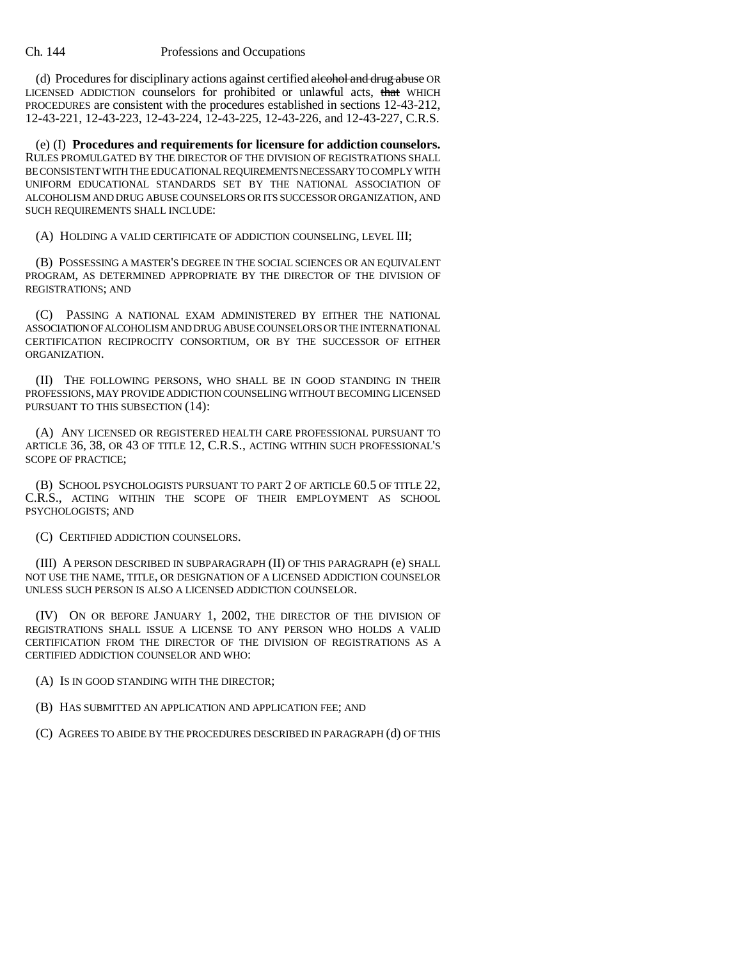(d) Procedures for disciplinary actions against certified alcohol and drug abuse OR LICENSED ADDICTION counselors for prohibited or unlawful acts, that WHICH PROCEDURES are consistent with the procedures established in sections 12-43-212, 12-43-221, 12-43-223, 12-43-224, 12-43-225, 12-43-226, and 12-43-227, C.R.S.

(e) (I) **Procedures and requirements for licensure for addiction counselors.** RULES PROMULGATED BY THE DIRECTOR OF THE DIVISION OF REGISTRATIONS SHALL BE CONSISTENT WITH THE EDUCATIONAL REQUIREMENTS NECESSARY TO COMPLY WITH UNIFORM EDUCATIONAL STANDARDS SET BY THE NATIONAL ASSOCIATION OF ALCOHOLISM AND DRUG ABUSE COUNSELORS OR ITS SUCCESSOR ORGANIZATION, AND SUCH REQUIREMENTS SHALL INCLUDE:

(A) HOLDING A VALID CERTIFICATE OF ADDICTION COUNSELING, LEVEL III;

(B) POSSESSING A MASTER'S DEGREE IN THE SOCIAL SCIENCES OR AN EQUIVALENT PROGRAM, AS DETERMINED APPROPRIATE BY THE DIRECTOR OF THE DIVISION OF REGISTRATIONS; AND

(C) PASSING A NATIONAL EXAM ADMINISTERED BY EITHER THE NATIONAL ASSOCIATION OF ALCOHOLISM AND DRUG ABUSE COUNSELORS OR THE INTERNATIONAL CERTIFICATION RECIPROCITY CONSORTIUM, OR BY THE SUCCESSOR OF EITHER ORGANIZATION.

(II) THE FOLLOWING PERSONS, WHO SHALL BE IN GOOD STANDING IN THEIR PROFESSIONS, MAY PROVIDE ADDICTION COUNSELING WITHOUT BECOMING LICENSED PURSUANT TO THIS SUBSECTION (14):

(A) ANY LICENSED OR REGISTERED HEALTH CARE PROFESSIONAL PURSUANT TO ARTICLE 36, 38, OR 43 OF TITLE 12, C.R.S., ACTING WITHIN SUCH PROFESSIONAL'S SCOPE OF PRACTICE;

(B) SCHOOL PSYCHOLOGISTS PURSUANT TO PART 2 OF ARTICLE 60.5 OF TITLE 22, C.R.S., ACTING WITHIN THE SCOPE OF THEIR EMPLOYMENT AS SCHOOL PSYCHOLOGISTS; AND

(C) CERTIFIED ADDICTION COUNSELORS.

(III) A PERSON DESCRIBED IN SUBPARAGRAPH (II) OF THIS PARAGRAPH (e) SHALL NOT USE THE NAME, TITLE, OR DESIGNATION OF A LICENSED ADDICTION COUNSELOR UNLESS SUCH PERSON IS ALSO A LICENSED ADDICTION COUNSELOR.

(IV) ON OR BEFORE JANUARY 1, 2002, THE DIRECTOR OF THE DIVISION OF REGISTRATIONS SHALL ISSUE A LICENSE TO ANY PERSON WHO HOLDS A VALID CERTIFICATION FROM THE DIRECTOR OF THE DIVISION OF REGISTRATIONS AS A CERTIFIED ADDICTION COUNSELOR AND WHO:

(A) IS IN GOOD STANDING WITH THE DIRECTOR;

(B) HAS SUBMITTED AN APPLICATION AND APPLICATION FEE; AND

(C) AGREES TO ABIDE BY THE PROCEDURES DESCRIBED IN PARAGRAPH (d) OF THIS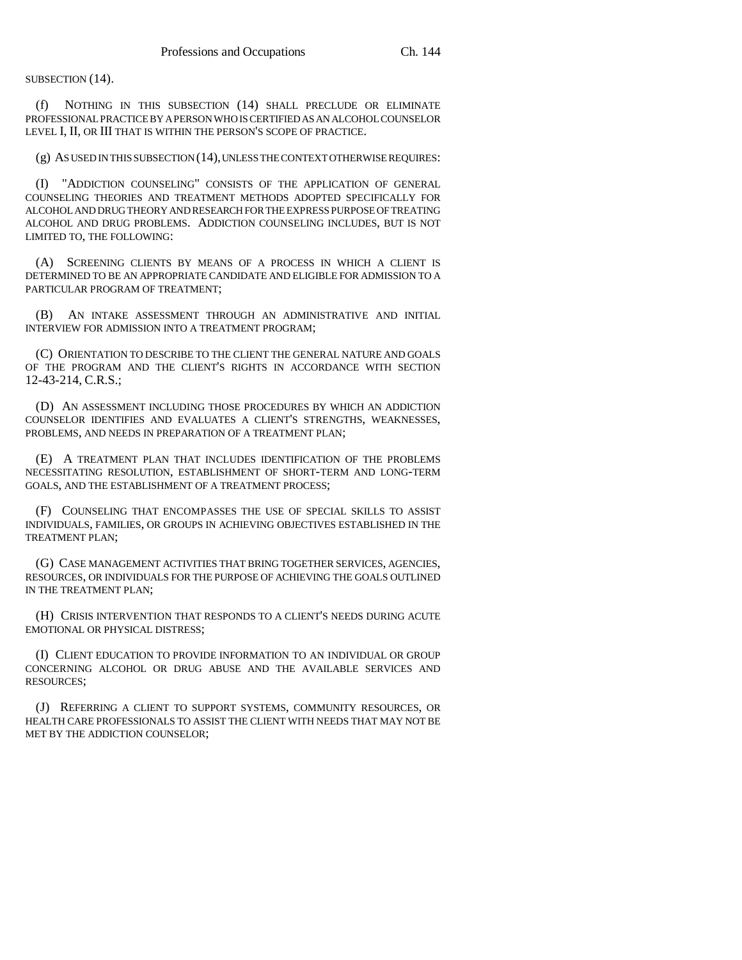SUBSECTION (14).

(f) NOTHING IN THIS SUBSECTION (14) SHALL PRECLUDE OR ELIMINATE PROFESSIONAL PRACTICE BY A PERSON WHO IS CERTIFIED AS AN ALCOHOL COUNSELOR LEVEL I, II, OR III THAT IS WITHIN THE PERSON'S SCOPE OF PRACTICE.

(g) AS USED IN THIS SUBSECTION (14), UNLESS THE CONTEXT OTHERWISE REQUIRES:

(I) "ADDICTION COUNSELING" CONSISTS OF THE APPLICATION OF GENERAL COUNSELING THEORIES AND TREATMENT METHODS ADOPTED SPECIFICALLY FOR ALCOHOL AND DRUG THEORY AND RESEARCH FOR THE EXPRESS PURPOSE OF TREATING ALCOHOL AND DRUG PROBLEMS. ADDICTION COUNSELING INCLUDES, BUT IS NOT LIMITED TO, THE FOLLOWING:

(A) SCREENING CLIENTS BY MEANS OF A PROCESS IN WHICH A CLIENT IS DETERMINED TO BE AN APPROPRIATE CANDIDATE AND ELIGIBLE FOR ADMISSION TO A PARTICULAR PROGRAM OF TREATMENT;

(B) AN INTAKE ASSESSMENT THROUGH AN ADMINISTRATIVE AND INITIAL INTERVIEW FOR ADMISSION INTO A TREATMENT PROGRAM;

(C) ORIENTATION TO DESCRIBE TO THE CLIENT THE GENERAL NATURE AND GOALS OF THE PROGRAM AND THE CLIENT'S RIGHTS IN ACCORDANCE WITH SECTION 12-43-214, C.R.S.;

(D) AN ASSESSMENT INCLUDING THOSE PROCEDURES BY WHICH AN ADDICTION COUNSELOR IDENTIFIES AND EVALUATES A CLIENT'S STRENGTHS, WEAKNESSES, PROBLEMS, AND NEEDS IN PREPARATION OF A TREATMENT PLAN;

(E) A TREATMENT PLAN THAT INCLUDES IDENTIFICATION OF THE PROBLEMS NECESSITATING RESOLUTION, ESTABLISHMENT OF SHORT-TERM AND LONG-TERM GOALS, AND THE ESTABLISHMENT OF A TREATMENT PROCESS;

(F) COUNSELING THAT ENCOMPASSES THE USE OF SPECIAL SKILLS TO ASSIST INDIVIDUALS, FAMILIES, OR GROUPS IN ACHIEVING OBJECTIVES ESTABLISHED IN THE TREATMENT PLAN;

(G) CASE MANAGEMENT ACTIVITIES THAT BRING TOGETHER SERVICES, AGENCIES, RESOURCES, OR INDIVIDUALS FOR THE PURPOSE OF ACHIEVING THE GOALS OUTLINED IN THE TREATMENT PLAN;

(H) CRISIS INTERVENTION THAT RESPONDS TO A CLIENT'S NEEDS DURING ACUTE EMOTIONAL OR PHYSICAL DISTRESS;

(I) CLIENT EDUCATION TO PROVIDE INFORMATION TO AN INDIVIDUAL OR GROUP CONCERNING ALCOHOL OR DRUG ABUSE AND THE AVAILABLE SERVICES AND RESOURCES;

(J) REFERRING A CLIENT TO SUPPORT SYSTEMS, COMMUNITY RESOURCES, OR HEALTH CARE PROFESSIONALS TO ASSIST THE CLIENT WITH NEEDS THAT MAY NOT BE MET BY THE ADDICTION COUNSELOR;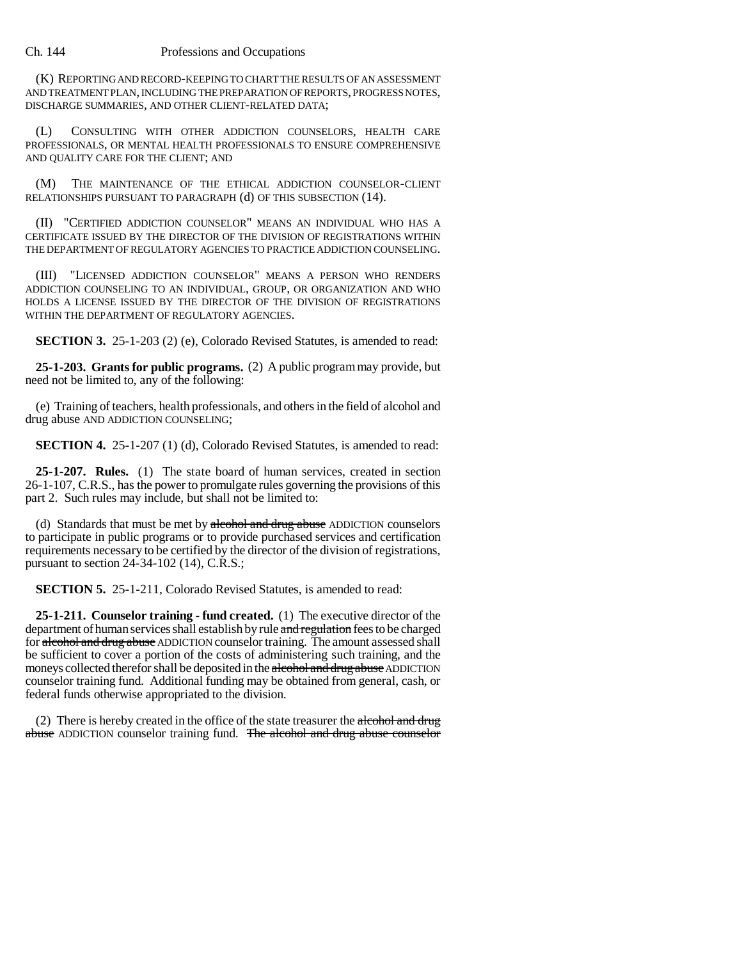## Ch. 144 Professions and Occupations

(K) REPORTING AND RECORD-KEEPING TO CHART THE RESULTS OF AN ASSESSMENT AND TREATMENT PLAN, INCLUDING THE PREPARATION OF REPORTS, PROGRESS NOTES, DISCHARGE SUMMARIES, AND OTHER CLIENT-RELATED DATA;

(L) CONSULTING WITH OTHER ADDICTION COUNSELORS, HEALTH CARE PROFESSIONALS, OR MENTAL HEALTH PROFESSIONALS TO ENSURE COMPREHENSIVE AND QUALITY CARE FOR THE CLIENT; AND

(M) THE MAINTENANCE OF THE ETHICAL ADDICTION COUNSELOR-CLIENT RELATIONSHIPS PURSUANT TO PARAGRAPH (d) OF THIS SUBSECTION (14).

(II) "CERTIFIED ADDICTION COUNSELOR" MEANS AN INDIVIDUAL WHO HAS A CERTIFICATE ISSUED BY THE DIRECTOR OF THE DIVISION OF REGISTRATIONS WITHIN THE DEPARTMENT OF REGULATORY AGENCIES TO PRACTICE ADDICTION COUNSELING.

(III) "LICENSED ADDICTION COUNSELOR" MEANS A PERSON WHO RENDERS ADDICTION COUNSELING TO AN INDIVIDUAL, GROUP, OR ORGANIZATION AND WHO HOLDS A LICENSE ISSUED BY THE DIRECTOR OF THE DIVISION OF REGISTRATIONS WITHIN THE DEPARTMENT OF REGULATORY AGENCIES.

**SECTION 3.** 25-1-203 (2) (e), Colorado Revised Statutes, is amended to read:

**25-1-203. Grants for public programs.** (2) A public program may provide, but need not be limited to, any of the following:

(e) Training of teachers, health professionals, and others in the field of alcohol and drug abuse AND ADDICTION COUNSELING;

**SECTION 4.** 25-1-207 (1) (d), Colorado Revised Statutes, is amended to read:

**25-1-207. Rules.** (1) The state board of human services, created in section 26-1-107, C.R.S., has the power to promulgate rules governing the provisions of this part 2. Such rules may include, but shall not be limited to:

(d) Standards that must be met by alcohol and drug abuse ADDICTION counselors to participate in public programs or to provide purchased services and certification requirements necessary to be certified by the director of the division of registrations, pursuant to section 24-34-102 (14), C.R.S.;

**SECTION 5.** 25-1-211, Colorado Revised Statutes, is amended to read:

**25-1-211. Counselor training - fund created.** (1) The executive director of the department of human services shall establish by rule and regulation fees to be charged for alcohol and drug abuse ADDICTION counselor training. The amount assessed shall be sufficient to cover a portion of the costs of administering such training, and the moneys collected therefor shall be deposited in the alcohol and drug abuse ADDICTION counselor training fund. Additional funding may be obtained from general, cash, or federal funds otherwise appropriated to the division.

(2) There is hereby created in the office of the state treasurer the alcohol and drug abuse ADDICTION counselor training fund. The alcohol and drug abuse counselor